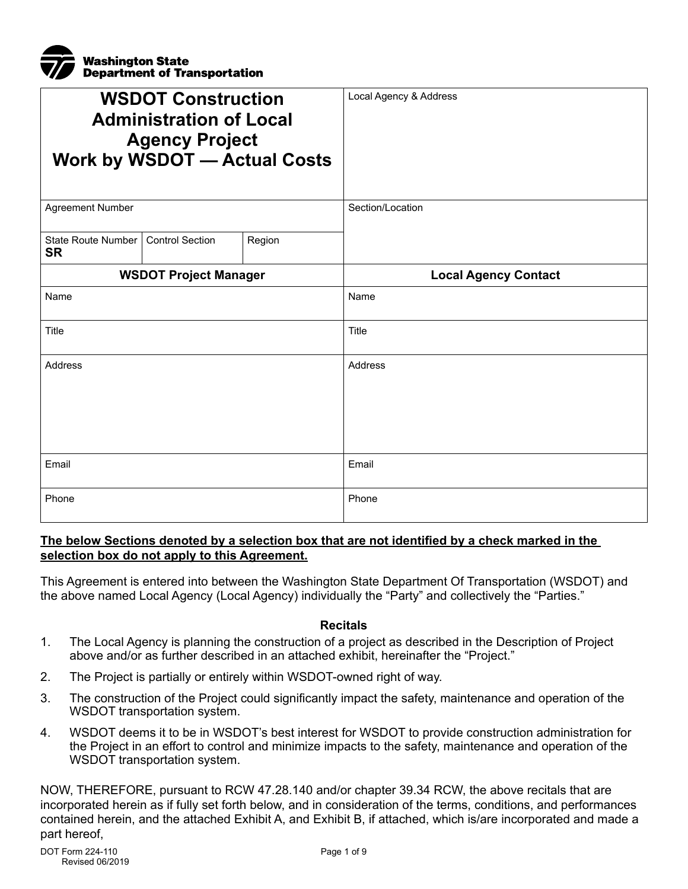

| <b>WSDOT Construction</b><br><b>Administration of Local</b><br><b>Agency Project</b><br><b>Work by WSDOT - Actual Costs</b> |                        |        | Local Agency & Address      |
|-----------------------------------------------------------------------------------------------------------------------------|------------------------|--------|-----------------------------|
| <b>Agreement Number</b>                                                                                                     |                        |        | Section/Location            |
| <b>State Route Number</b><br><b>SR</b>                                                                                      | <b>Control Section</b> | Region |                             |
| <b>WSDOT Project Manager</b>                                                                                                |                        |        | <b>Local Agency Contact</b> |
| Name                                                                                                                        |                        |        | Name                        |
| Title                                                                                                                       |                        |        | Title                       |
| <b>Address</b>                                                                                                              |                        |        | Address                     |
| Email                                                                                                                       |                        |        | Email                       |
| Phone                                                                                                                       |                        |        | Phone                       |

#### **The below Sections denoted by a selection box that are not identified by a check marked in the selection box do not apply to this Agreement.**

This Agreement is entered into between the Washington State Department Of Transportation (WSDOT) and the above named Local Agency (Local Agency) individually the "Party" and collectively the "Parties."

#### **Recitals**

- 1. The Local Agency is planning the construction of a project as described in the Description of Project above and/or as further described in an attached exhibit, hereinafter the "Project."
- 2. The Project is partially or entirely within WSDOT-owned right of way.
- 3. The construction of the Project could significantly impact the safety, maintenance and operation of the WSDOT transportation system.
- 4. WSDOT deems it to be in WSDOT's best interest for WSDOT to provide construction administration for the Project in an effort to control and minimize impacts to the safety, maintenance and operation of the WSDOT transportation system.

NOW, THEREFORE, pursuant to RCW 47.28.140 and/or chapter 39.34 RCW, the above recitals that are incorporated herein as if fully set forth below, and in consideration of the terms, conditions, and performances contained herein, and the attached Exhibit A, and Exhibit B, if attached, which is/are incorporated and made a part hereof,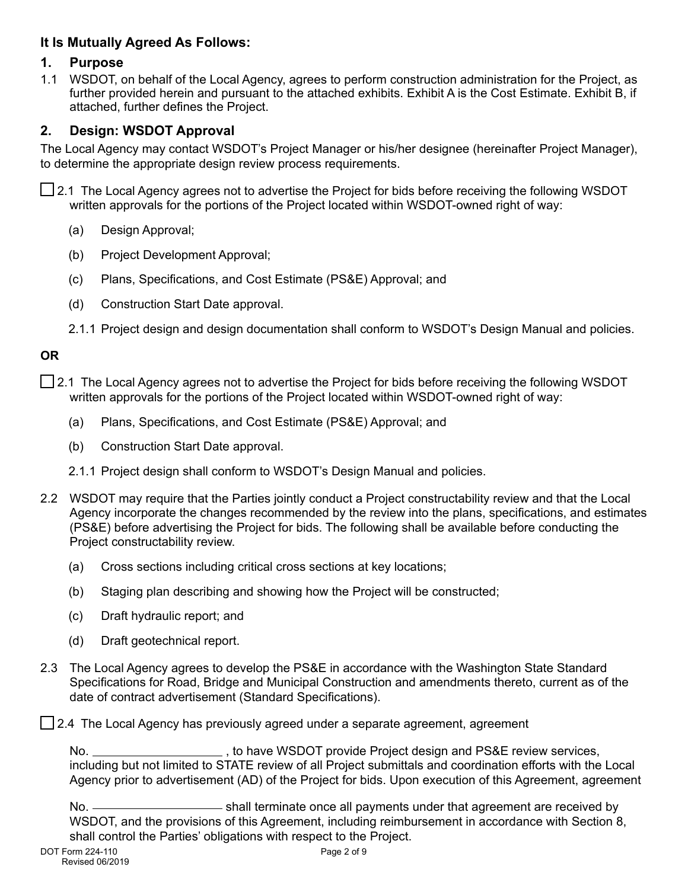# **It Is Mutually Agreed As Follows:**

#### **1. Purpose**

1.1 WSDOT, on behalf of the Local Agency, agrees to perform construction administration for the Project, as further provided herein and pursuant to the attached exhibits. Exhibit A is the Cost Estimate. Exhibit B, if attached, further defines the Project.

## **2. Design: WSDOT Approval**

The Local Agency may contact WSDOT's Project Manager or his/her designee (hereinafter Project Manager), to determine the appropriate design review process requirements.

2.1 The Local Agency agrees not to advertise the Project for bids before receiving the following WSDOT written approvals for the portions of the Project located within WSDOT-owned right of way:

- (a) Design Approval;
- (b) Project Development Approval;
- (c) Plans, Specifications, and Cost Estimate (PS&E) Approval; and
- (d) Construction Start Date approval.
- 2.1.1 Project design and design documentation shall conform to WSDOT's Design Manual and policies.

### **OR**

- ◯ 2.1 The Local Agency agrees not to advertise the Project for bids before receiving the following WSDOT written approvals for the portions of the Project located within WSDOT-owned right of way:
	- (a) Plans, Specifications, and Cost Estimate (PS&E) Approval; and
	- (b) Construction Start Date approval.
	- 2.1.1 Project design shall conform to WSDOT's Design Manual and policies.
- 2.2 WSDOT may require that the Parties jointly conduct a Project constructability review and that the Local Agency incorporate the changes recommended by the review into the plans, specifications, and estimates (PS&E) before advertising the Project for bids. The following shall be available before conducting the Project constructability review.
	- (a) Cross sections including critical cross sections at key locations;
	- (b) Staging plan describing and showing how the Project will be constructed;
	- (c) Draft hydraulic report; and
	- (d) Draft geotechnical report.
- 2.3 The Local Agency agrees to develop the PS&E in accordance with the Washington State Standard Specifications for Road, Bridge and Municipal Construction and amendments thereto, current as of the date of contract advertisement (Standard Specifications).

 $\Box$  2.4 The Local Agency has previously agreed under a separate agreement, agreement

No. \_\_\_\_\_\_\_\_\_\_\_\_\_\_\_\_\_\_\_\_\_\_\_\_\_, to have WSDOT provide Project design and PS&E review services, including but not limited to STATE review of all Project submittals and coordination efforts with the Local Agency prior to advertisement (AD) of the Project for bids. Upon execution of this Agreement, agreement

No.  $\frac{1}{100}$  shall terminate once all payments under that agreement are received by WSDOT, and the provisions of this Agreement, including reimbursement in accordance with Section 8, shall control the Parties' obligations with respect to the Project.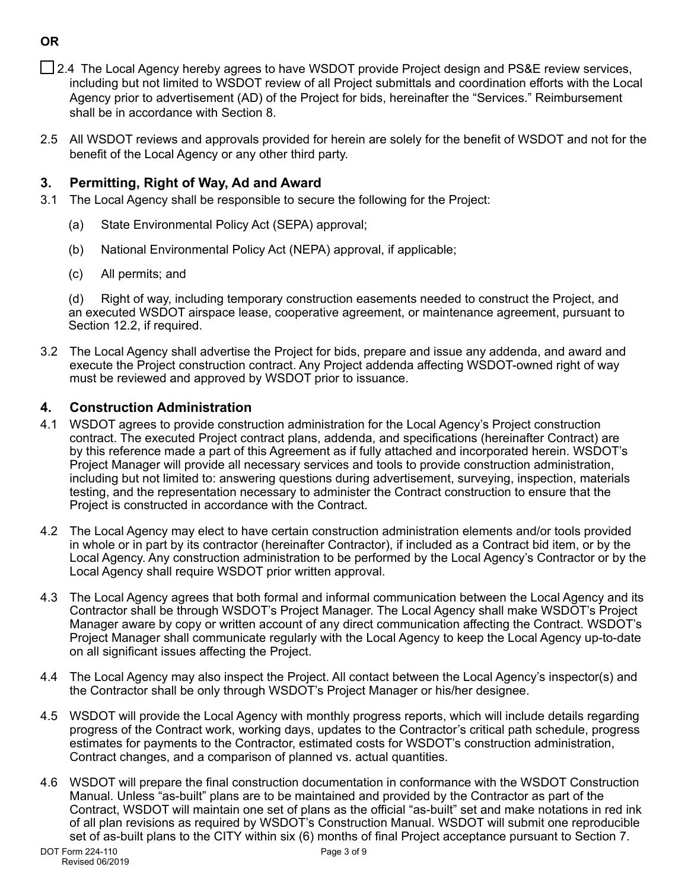- □ 2.4 The Local Agency hereby agrees to have WSDOT provide Project design and PS&E review services, including but not limited to WSDOT review of all Project submittals and coordination efforts with the Local Agency prior to advertisement (AD) of the Project for bids, hereinafter the "Services." Reimbursement shall be in accordance with Section 8.
- 2.5 All WSDOT reviews and approvals provided for herein are solely for the benefit of WSDOT and not for the benefit of the Local Agency or any other third party.

### **3. Permitting, Right of Way, Ad and Award**

- 3.1 The Local Agency shall be responsible to secure the following for the Project:
	- (a) State Environmental Policy Act (SEPA) approval;
	- (b) National Environmental Policy Act (NEPA) approval, if applicable;
	- (c) All permits; and

(d) Right of way, including temporary construction easements needed to construct the Project, and an executed WSDOT airspace lease, cooperative agreement, or maintenance agreement, pursuant to Section 12.2, if required.

3.2 The Local Agency shall advertise the Project for bids, prepare and issue any addenda, and award and execute the Project construction contract. Any Project addenda affecting WSDOT-owned right of way must be reviewed and approved by WSDOT prior to issuance.

## **4. Construction Administration**

- 4.1 WSDOT agrees to provide construction administration for the Local Agency's Project construction contract. The executed Project contract plans, addenda, and specifications (hereinafter Contract) are by this reference made a part of this Agreement as if fully attached and incorporated herein. WSDOT's Project Manager will provide all necessary services and tools to provide construction administration, including but not limited to: answering questions during advertisement, surveying, inspection, materials testing, and the representation necessary to administer the Contract construction to ensure that the Project is constructed in accordance with the Contract.
- 4.2 The Local Agency may elect to have certain construction administration elements and/or tools provided in whole or in part by its contractor (hereinafter Contractor), if included as a Contract bid item, or by the Local Agency. Any construction administration to be performed by the Local Agency's Contractor or by the Local Agency shall require WSDOT prior written approval.
- 4.3 The Local Agency agrees that both formal and informal communication between the Local Agency and its Contractor shall be through WSDOT's Project Manager. The Local Agency shall make WSDOT's Project Manager aware by copy or written account of any direct communication affecting the Contract. WSDOT's Project Manager shall communicate regularly with the Local Agency to keep the Local Agency up-to-date on all significant issues affecting the Project.
- 4.4 The Local Agency may also inspect the Project. All contact between the Local Agency's inspector(s) and the Contractor shall be only through WSDOT's Project Manager or his/her designee.
- 4.5 WSDOT will provide the Local Agency with monthly progress reports, which will include details regarding progress of the Contract work, working days, updates to the Contractor's critical path schedule, progress estimates for payments to the Contractor, estimated costs for WSDOT's construction administration, Contract changes, and a comparison of planned vs. actual quantities.
- 4.6 WSDOT will prepare the final construction documentation in conformance with the WSDOT Construction Manual. Unless "as-built" plans are to be maintained and provided by the Contractor as part of the Contract, WSDOT will maintain one set of plans as the official "as-built" set and make notations in red ink of all plan revisions as required by WSDOT's Construction Manual. WSDOT will submit one reproducible set of as-built plans to the CITY within six (6) months of final Project acceptance pursuant to Section 7.

# **OR**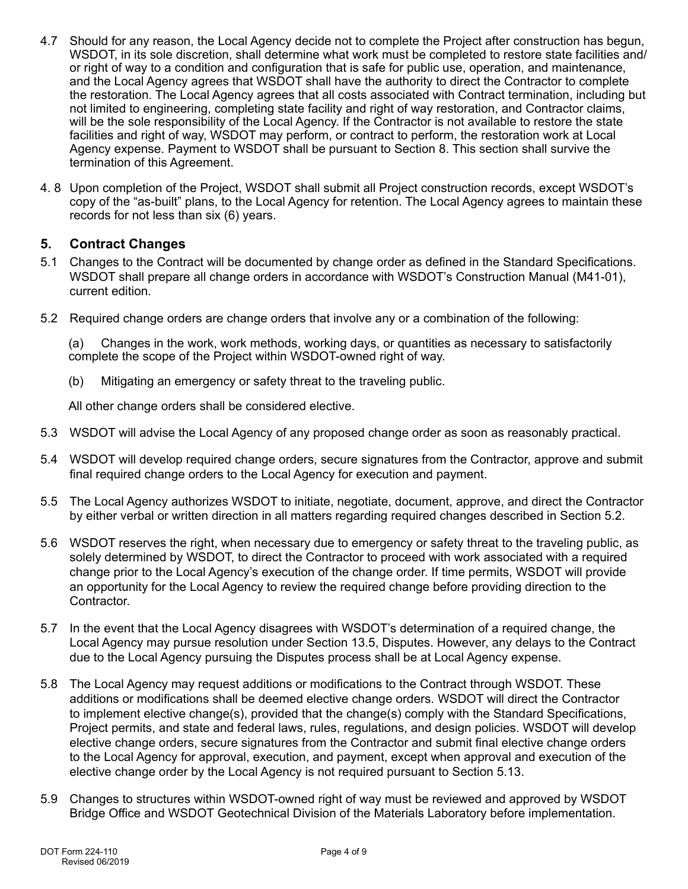- 4.7 Should for any reason, the Local Agency decide not to complete the Project after construction has begun, WSDOT, in its sole discretion, shall determine what work must be completed to restore state facilities and/ or right of way to a condition and configuration that is safe for public use, operation, and maintenance, and the Local Agency agrees that WSDOT shall have the authority to direct the Contractor to complete the restoration. The Local Agency agrees that all costs associated with Contract termination, including but not limited to engineering, completing state facility and right of way restoration, and Contractor claims, will be the sole responsibility of the Local Agency. If the Contractor is not available to restore the state facilities and right of way, WSDOT may perform, or contract to perform, the restoration work at Local Agency expense. Payment to WSDOT shall be pursuant to Section 8. This section shall survive the termination of this Agreement.
- 4. 8 Upon completion of the Project, WSDOT shall submit all Project construction records, except WSDOT's copy of the "as-built" plans, to the Local Agency for retention. The Local Agency agrees to maintain these records for not less than six (6) years.

### **5. Contract Changes**

- 5.1 Changes to the Contract will be documented by change order as defined in the Standard Specifications. WSDOT shall prepare all change orders in accordance with WSDOT's Construction Manual (M41-01), current edition.
- 5.2 Required change orders are change orders that involve any or a combination of the following:

(a) Changes in the work, work methods, working days, or quantities as necessary to satisfactorily complete the scope of the Project within WSDOT-owned right of way.

(b) Mitigating an emergency or safety threat to the traveling public.

All other change orders shall be considered elective.

- 5.3 WSDOT will advise the Local Agency of any proposed change order as soon as reasonably practical.
- 5.4 WSDOT will develop required change orders, secure signatures from the Contractor, approve and submit final required change orders to the Local Agency for execution and payment.
- 5.5 The Local Agency authorizes WSDOT to initiate, negotiate, document, approve, and direct the Contractor by either verbal or written direction in all matters regarding required changes described in Section 5.2.
- 5.6 WSDOT reserves the right, when necessary due to emergency or safety threat to the traveling public, as solely determined by WSDOT, to direct the Contractor to proceed with work associated with a required change prior to the Local Agency's execution of the change order. If time permits, WSDOT will provide an opportunity for the Local Agency to review the required change before providing direction to the Contractor.
- 5.7 In the event that the Local Agency disagrees with WSDOT's determination of a required change, the Local Agency may pursue resolution under Section 13.5, Disputes. However, any delays to the Contract due to the Local Agency pursuing the Disputes process shall be at Local Agency expense.
- 5.8 The Local Agency may request additions or modifications to the Contract through WSDOT. These additions or modifications shall be deemed elective change orders. WSDOT will direct the Contractor to implement elective change(s), provided that the change(s) comply with the Standard Specifications, Project permits, and state and federal laws, rules, regulations, and design policies. WSDOT will develop elective change orders, secure signatures from the Contractor and submit final elective change orders to the Local Agency for approval, execution, and payment, except when approval and execution of the elective change order by the Local Agency is not required pursuant to Section 5.13.
- 5.9 Changes to structures within WSDOT-owned right of way must be reviewed and approved by WSDOT Bridge Office and WSDOT Geotechnical Division of the Materials Laboratory before implementation.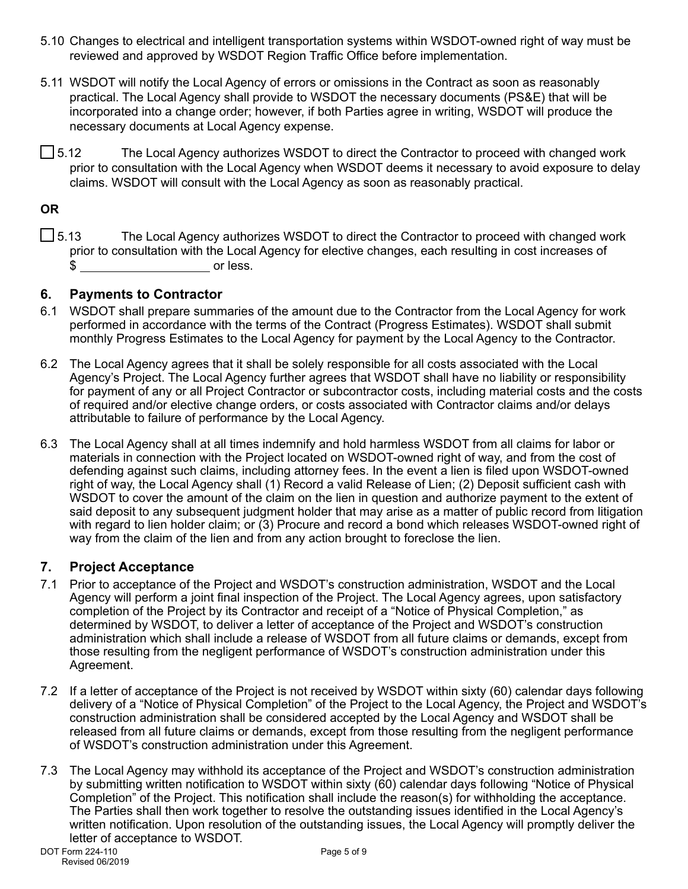- 5.10 Changes to electrical and intelligent transportation systems within WSDOT-owned right of way must be reviewed and approved by WSDOT Region Traffic Office before implementation.
- 5.11 WSDOT will notify the Local Agency of errors or omissions in the Contract as soon as reasonably practical. The Local Agency shall provide to WSDOT the necessary documents (PS&E) that will be incorporated into a change order; however, if both Parties agree in writing, WSDOT will produce the necessary documents at Local Agency expense.
- $\Box$  5.12 The Local Agency authorizes WSDOT to direct the Contractor to proceed with changed work prior to consultation with the Local Agency when WSDOT deems it necessary to avoid exposure to delay claims. WSDOT will consult with the Local Agency as soon as reasonably practical.

### **OR**

 $\Box$  5.13 The Local Agency authorizes WSDOT to direct the Contractor to proceed with changed work prior to consultation with the Local Agency for elective changes, each resulting in cost increases of \$ or less.

#### **6. Payments to Contractor**

- 6.1 WSDOT shall prepare summaries of the amount due to the Contractor from the Local Agency for work performed in accordance with the terms of the Contract (Progress Estimates). WSDOT shall submit monthly Progress Estimates to the Local Agency for payment by the Local Agency to the Contractor.
- 6.2 The Local Agency agrees that it shall be solely responsible for all costs associated with the Local Agency's Project. The Local Agency further agrees that WSDOT shall have no liability or responsibility for payment of any or all Project Contractor or subcontractor costs, including material costs and the costs of required and/or elective change orders, or costs associated with Contractor claims and/or delays attributable to failure of performance by the Local Agency.
- 6.3 The Local Agency shall at all times indemnify and hold harmless WSDOT from all claims for labor or materials in connection with the Project located on WSDOT-owned right of way, and from the cost of defending against such claims, including attorney fees. In the event a lien is filed upon WSDOT-owned right of way, the Local Agency shall (1) Record a valid Release of Lien; (2) Deposit sufficient cash with WSDOT to cover the amount of the claim on the lien in question and authorize payment to the extent of said deposit to any subsequent judgment holder that may arise as a matter of public record from litigation with regard to lien holder claim; or (3) Procure and record a bond which releases WSDOT-owned right of way from the claim of the lien and from any action brought to foreclose the lien.

### **7. Project Acceptance**

- 7.1 Prior to acceptance of the Project and WSDOT's construction administration, WSDOT and the Local Agency will perform a joint final inspection of the Project. The Local Agency agrees, upon satisfactory completion of the Project by its Contractor and receipt of a "Notice of Physical Completion," as determined by WSDOT, to deliver a letter of acceptance of the Project and WSDOT's construction administration which shall include a release of WSDOT from all future claims or demands, except from those resulting from the negligent performance of WSDOT's construction administration under this Agreement.
- 7.2 If a letter of acceptance of the Project is not received by WSDOT within sixty (60) calendar days following delivery of a "Notice of Physical Completion" of the Project to the Local Agency, the Project and WSDOT's construction administration shall be considered accepted by the Local Agency and WSDOT shall be released from all future claims or demands, except from those resulting from the negligent performance of WSDOT's construction administration under this Agreement.
- 7.3 The Local Agency may withhold its acceptance of the Project and WSDOT's construction administration by submitting written notification to WSDOT within sixty (60) calendar days following "Notice of Physical Completion" of the Project. This notification shall include the reason(s) for withholding the acceptance. The Parties shall then work together to resolve the outstanding issues identified in the Local Agency's written notification. Upon resolution of the outstanding issues, the Local Agency will promptly deliver the letter of acceptance to WSDOT.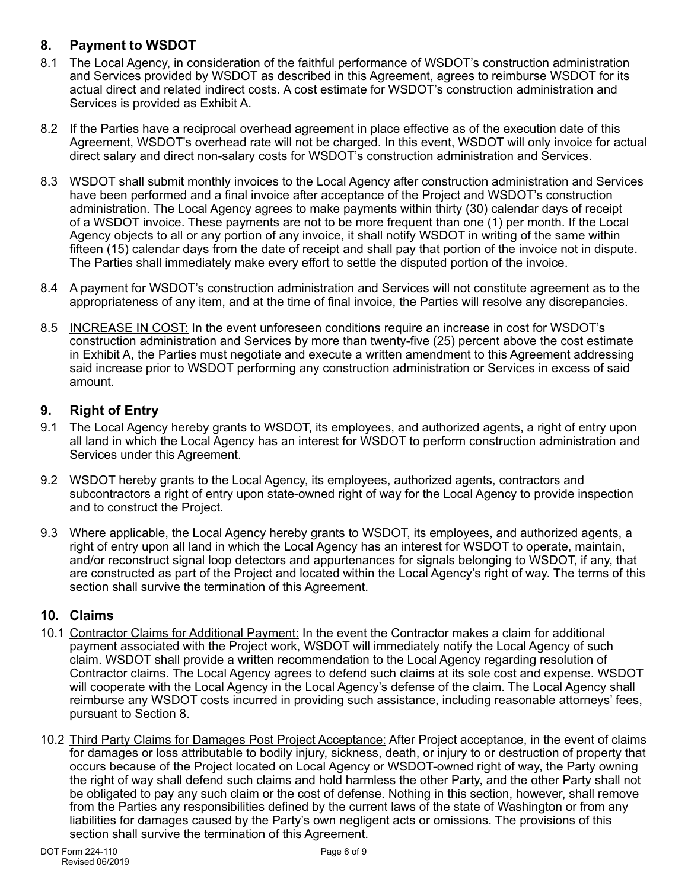## **8. Payment to WSDOT**

- 8.1 The Local Agency, in consideration of the faithful performance of WSDOT's construction administration and Services provided by WSDOT as described in this Agreement, agrees to reimburse WSDOT for its actual direct and related indirect costs. A cost estimate for WSDOT's construction administration and Services is provided as Exhibit A.
- 8.2 If the Parties have a reciprocal overhead agreement in place effective as of the execution date of this Agreement, WSDOT's overhead rate will not be charged. In this event, WSDOT will only invoice for actual direct salary and direct non-salary costs for WSDOT's construction administration and Services.
- 8.3 WSDOT shall submit monthly invoices to the Local Agency after construction administration and Services have been performed and a final invoice after acceptance of the Project and WSDOT's construction administration. The Local Agency agrees to make payments within thirty (30) calendar days of receipt of a WSDOT invoice. These payments are not to be more frequent than one (1) per month. If the Local Agency objects to all or any portion of any invoice, it shall notify WSDOT in writing of the same within fifteen (15) calendar days from the date of receipt and shall pay that portion of the invoice not in dispute. The Parties shall immediately make every effort to settle the disputed portion of the invoice.
- 8.4 A payment for WSDOT's construction administration and Services will not constitute agreement as to the appropriateness of any item, and at the time of final invoice, the Parties will resolve any discrepancies.
- 8.5 INCREASE IN COST: In the event unforeseen conditions require an increase in cost for WSDOT's construction administration and Services by more than twenty-five (25) percent above the cost estimate in Exhibit A, the Parties must negotiate and execute a written amendment to this Agreement addressing said increase prior to WSDOT performing any construction administration or Services in excess of said amount.

# **9. Right of Entry**

- 9.1 The Local Agency hereby grants to WSDOT, its employees, and authorized agents, a right of entry upon all land in which the Local Agency has an interest for WSDOT to perform construction administration and Services under this Agreement.
- 9.2 WSDOT hereby grants to the Local Agency, its employees, authorized agents, contractors and subcontractors a right of entry upon state-owned right of way for the Local Agency to provide inspection and to construct the Project.
- 9.3 Where applicable, the Local Agency hereby grants to WSDOT, its employees, and authorized agents, a right of entry upon all land in which the Local Agency has an interest for WSDOT to operate, maintain, and/or reconstruct signal loop detectors and appurtenances for signals belonging to WSDOT, if any, that are constructed as part of the Project and located within the Local Agency's right of way. The terms of this section shall survive the termination of this Agreement.

### **10. Claims**

- 10.1 Contractor Claims for Additional Payment: In the event the Contractor makes a claim for additional payment associated with the Project work, WSDOT will immediately notify the Local Agency of such claim. WSDOT shall provide a written recommendation to the Local Agency regarding resolution of Contractor claims. The Local Agency agrees to defend such claims at its sole cost and expense. WSDOT will cooperate with the Local Agency in the Local Agency's defense of the claim. The Local Agency shall reimburse any WSDOT costs incurred in providing such assistance, including reasonable attorneys' fees, pursuant to Section 8.
- 10.2 Third Party Claims for Damages Post Project Acceptance: After Project acceptance, in the event of claims for damages or loss attributable to bodily injury, sickness, death, or injury to or destruction of property that occurs because of the Project located on Local Agency or WSDOT-owned right of way, the Party owning the right of way shall defend such claims and hold harmless the other Party, and the other Party shall not be obligated to pay any such claim or the cost of defense. Nothing in this section, however, shall remove from the Parties any responsibilities defined by the current laws of the state of Washington or from any liabilities for damages caused by the Party's own negligent acts or omissions. The provisions of this section shall survive the termination of this Agreement.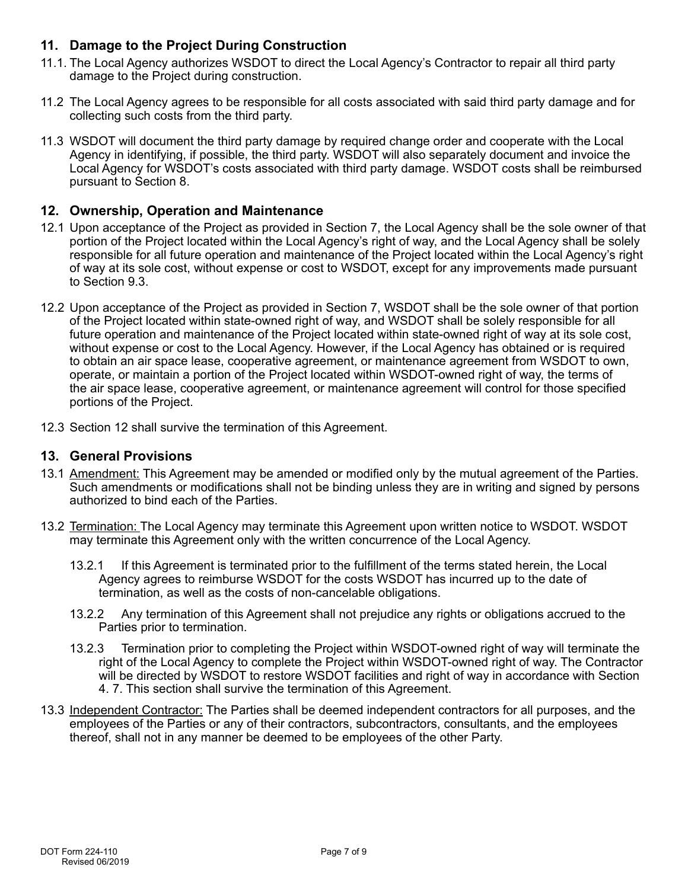## **11. Damage to the Project During Construction**

- 11.1. The Local Agency authorizes WSDOT to direct the Local Agency's Contractor to repair all third party damage to the Project during construction.
- 11.2 The Local Agency agrees to be responsible for all costs associated with said third party damage and for collecting such costs from the third party.
- 11.3 WSDOT will document the third party damage by required change order and cooperate with the Local Agency in identifying, if possible, the third party. WSDOT will also separately document and invoice the Local Agency for WSDOT's costs associated with third party damage. WSDOT costs shall be reimbursed pursuant to Section 8.

#### **12. Ownership, Operation and Maintenance**

- 12.1 Upon acceptance of the Project as provided in Section 7, the Local Agency shall be the sole owner of that portion of the Project located within the Local Agency's right of way, and the Local Agency shall be solely responsible for all future operation and maintenance of the Project located within the Local Agency's right of way at its sole cost, without expense or cost to WSDOT, except for any improvements made pursuant to Section 9.3.
- 12.2 Upon acceptance of the Project as provided in Section 7, WSDOT shall be the sole owner of that portion of the Project located within state-owned right of way, and WSDOT shall be solely responsible for all future operation and maintenance of the Project located within state-owned right of way at its sole cost, without expense or cost to the Local Agency. However, if the Local Agency has obtained or is required to obtain an air space lease, cooperative agreement, or maintenance agreement from WSDOT to own, operate, or maintain a portion of the Project located within WSDOT-owned right of way, the terms of the air space lease, cooperative agreement, or maintenance agreement will control for those specified portions of the Project.
- 12.3 Section 12 shall survive the termination of this Agreement.

#### **13. General Provisions**

- 13.1 Amendment: This Agreement may be amended or modified only by the mutual agreement of the Parties. Such amendments or modifications shall not be binding unless they are in writing and signed by persons authorized to bind each of the Parties.
- 13.2 Termination: The Local Agency may terminate this Agreement upon written notice to WSDOT. WSDOT may terminate this Agreement only with the written concurrence of the Local Agency.
	- 13.2.1 If this Agreement is terminated prior to the fulfillment of the terms stated herein, the Local Agency agrees to reimburse WSDOT for the costs WSDOT has incurred up to the date of termination, as well as the costs of non-cancelable obligations.
	- 13.2.2 Any termination of this Agreement shall not prejudice any rights or obligations accrued to the Parties prior to termination.
	- 13.2.3 Termination prior to completing the Project within WSDOT-owned right of way will terminate the right of the Local Agency to complete the Project within WSDOT-owned right of way. The Contractor will be directed by WSDOT to restore WSDOT facilities and right of way in accordance with Section 4. 7. This section shall survive the termination of this Agreement.
- 13.3 Independent Contractor: The Parties shall be deemed independent contractors for all purposes, and the employees of the Parties or any of their contractors, subcontractors, consultants, and the employees thereof, shall not in any manner be deemed to be employees of the other Party.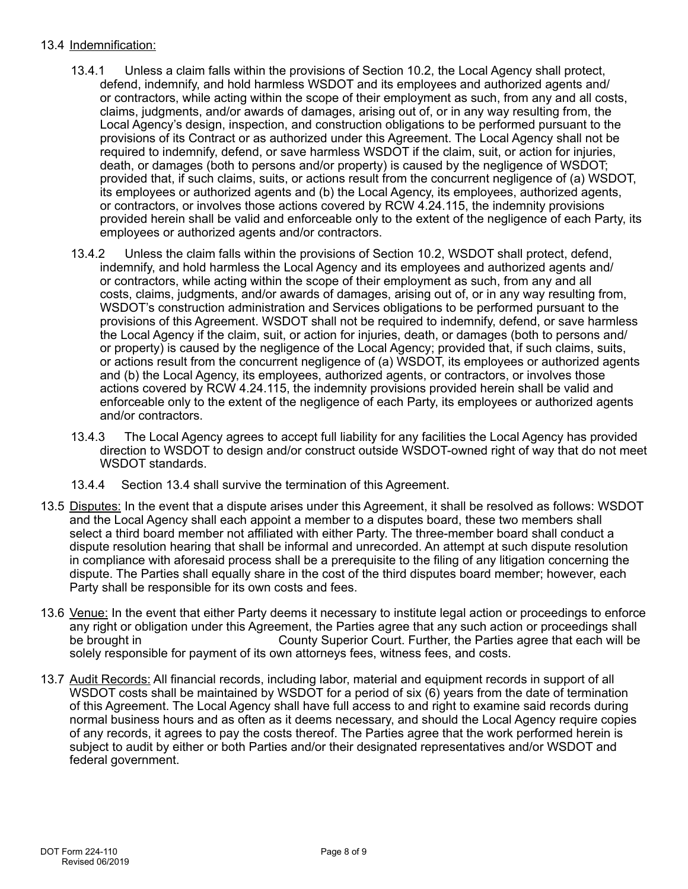#### 13.4 Indemnification:

- 13.4.1 Unless a claim falls within the provisions of Section 10.2, the Local Agency shall protect, defend, indemnify, and hold harmless WSDOT and its employees and authorized agents and/ or contractors, while acting within the scope of their employment as such, from any and all costs, claims, judgments, and/or awards of damages, arising out of, or in any way resulting from, the Local Agency's design, inspection, and construction obligations to be performed pursuant to the provisions of its Contract or as authorized under this Agreement. The Local Agency shall not be required to indemnify, defend, or save harmless WSDOT if the claim, suit, or action for injuries, death, or damages (both to persons and/or property) is caused by the negligence of WSDOT; provided that, if such claims, suits, or actions result from the concurrent negligence of (a) WSDOT, its employees or authorized agents and (b) the Local Agency, its employees, authorized agents, or contractors, or involves those actions covered by RCW 4.24.115, the indemnity provisions provided herein shall be valid and enforceable only to the extent of the negligence of each Party, its employees or authorized agents and/or contractors.
- 13.4.2 Unless the claim falls within the provisions of Section 10.2, WSDOT shall protect, defend, indemnify, and hold harmless the Local Agency and its employees and authorized agents and/ or contractors, while acting within the scope of their employment as such, from any and all costs, claims, judgments, and/or awards of damages, arising out of, or in any way resulting from, WSDOT's construction administration and Services obligations to be performed pursuant to the provisions of this Agreement. WSDOT shall not be required to indemnify, defend, or save harmless the Local Agency if the claim, suit, or action for injuries, death, or damages (both to persons and/ or property) is caused by the negligence of the Local Agency; provided that, if such claims, suits, or actions result from the concurrent negligence of (a) WSDOT, its employees or authorized agents and (b) the Local Agency, its employees, authorized agents, or contractors, or involves those actions covered by RCW 4.24.115, the indemnity provisions provided herein shall be valid and enforceable only to the extent of the negligence of each Party, its employees or authorized agents and/or contractors.
- 13.4.3 The Local Agency agrees to accept full liability for any facilities the Local Agency has provided direction to WSDOT to design and/or construct outside WSDOT-owned right of way that do not meet WSDOT standards.
- 13.4.4 Section 13.4 shall survive the termination of this Agreement.
- 13.5 Disputes: In the event that a dispute arises under this Agreement, it shall be resolved as follows: WSDOT and the Local Agency shall each appoint a member to a disputes board, these two members shall select a third board member not affiliated with either Party. The three-member board shall conduct a dispute resolution hearing that shall be informal and unrecorded. An attempt at such dispute resolution in compliance with aforesaid process shall be a prerequisite to the filing of any litigation concerning the dispute. The Parties shall equally share in the cost of the third disputes board member; however, each Party shall be responsible for its own costs and fees.
- 13.6 Venue: In the event that either Party deems it necessary to institute legal action or proceedings to enforce any right or obligation under this Agreement, the Parties agree that any such action or proceedings shall be brought in County Superior Court. Further, the Parties agree that each will be solely responsible for payment of its own attorneys fees, witness fees, and costs.
- 13.7 Audit Records: All financial records, including labor, material and equipment records in support of all WSDOT costs shall be maintained by WSDOT for a period of six (6) years from the date of termination of this Agreement. The Local Agency shall have full access to and right to examine said records during normal business hours and as often as it deems necessary, and should the Local Agency require copies of any records, it agrees to pay the costs thereof. The Parties agree that the work performed herein is subject to audit by either or both Parties and/or their designated representatives and/or WSDOT and federal government.